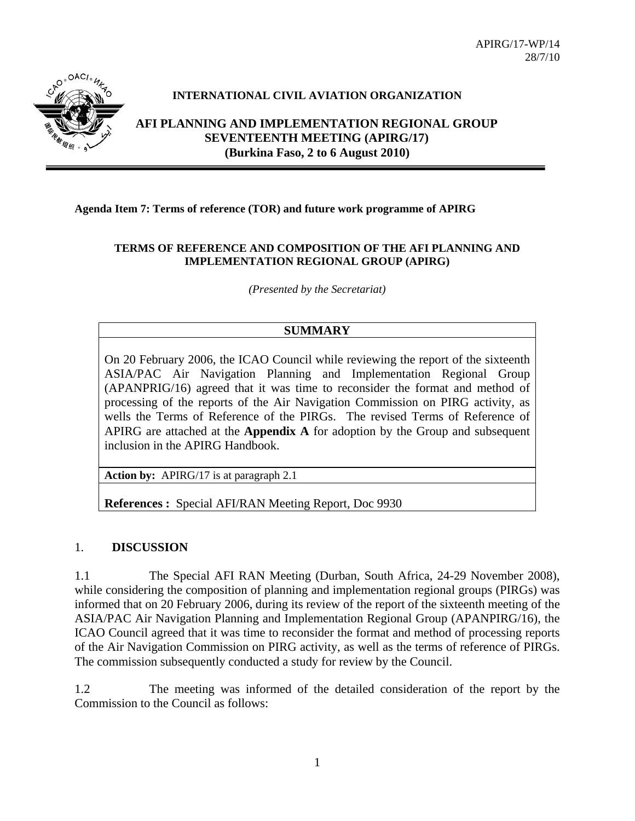APIRG/17-WP/14 28/7/10



### **INTERNATIONAL CIVIL AVIATION ORGANIZATION**

**AFI PLANNING AND IMPLEMENTATION REGIONAL GROUP SEVENTEENTH MEETING (APIRG/17) (Burkina Faso, 2 to 6 August 2010)** 

#### **Agenda Item 7: Terms of reference (TOR) and future work programme of APIRG**

#### **TERMS OF REFERENCE AND COMPOSITION OF THE AFI PLANNING AND IMPLEMENTATION REGIONAL GROUP (APIRG)**

*(Presented by the Secretariat)* 

### **SUMMARY**

On 20 February 2006, the ICAO Council while reviewing the report of the sixteenth ASIA/PAC Air Navigation Planning and Implementation Regional Group (APANPRIG/16) agreed that it was time to reconsider the format and method of processing of the reports of the Air Navigation Commission on PIRG activity, as wells the Terms of Reference of the PIRGs. The revised Terms of Reference of APIRG are attached at the **Appendix A** for adoption by the Group and subsequent inclusion in the APIRG Handbook.

**Action by:** APIRG/17 is at paragraph 2.1

**References :** Special AFI/RAN Meeting Report, Doc 9930

#### 1. **DISCUSSION**

1.1 The Special AFI RAN Meeting (Durban, South Africa, 24-29 November 2008), while considering the composition of planning and implementation regional groups (PIRGs) was informed that on 20 February 2006, during its review of the report of the sixteenth meeting of the ASIA/PAC Air Navigation Planning and Implementation Regional Group (APANPIRG/16), the ICAO Council agreed that it was time to reconsider the format and method of processing reports of the Air Navigation Commission on PIRG activity, as well as the terms of reference of PIRGs. The commission subsequently conducted a study for review by the Council.

1.2 The meeting was informed of the detailed consideration of the report by the Commission to the Council as follows: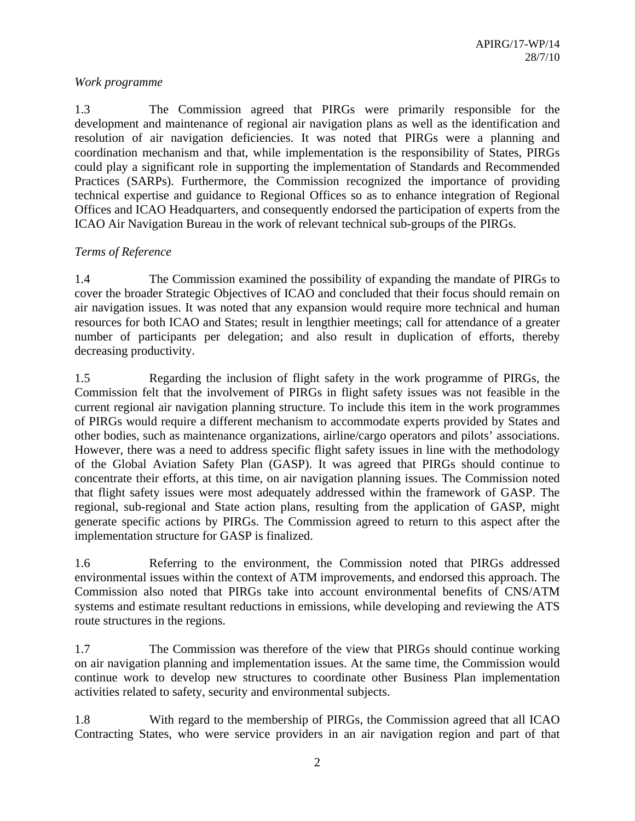### *Work programme*

1.3 The Commission agreed that PIRGs were primarily responsible for the development and maintenance of regional air navigation plans as well as the identification and resolution of air navigation deficiencies. It was noted that PIRGs were a planning and coordination mechanism and that, while implementation is the responsibility of States, PIRGs could play a significant role in supporting the implementation of Standards and Recommended Practices (SARPs). Furthermore, the Commission recognized the importance of providing technical expertise and guidance to Regional Offices so as to enhance integration of Regional Offices and ICAO Headquarters, and consequently endorsed the participation of experts from the ICAO Air Navigation Bureau in the work of relevant technical sub-groups of the PIRGs.

### *Terms of Reference*

1.4 The Commission examined the possibility of expanding the mandate of PIRGs to cover the broader Strategic Objectives of ICAO and concluded that their focus should remain on air navigation issues. It was noted that any expansion would require more technical and human resources for both ICAO and States; result in lengthier meetings; call for attendance of a greater number of participants per delegation; and also result in duplication of efforts, thereby decreasing productivity.

1.5 Regarding the inclusion of flight safety in the work programme of PIRGs, the Commission felt that the involvement of PIRGs in flight safety issues was not feasible in the current regional air navigation planning structure. To include this item in the work programmes of PIRGs would require a different mechanism to accommodate experts provided by States and other bodies, such as maintenance organizations, airline/cargo operators and pilots' associations. However, there was a need to address specific flight safety issues in line with the methodology of the Global Aviation Safety Plan (GASP). It was agreed that PIRGs should continue to concentrate their efforts, at this time, on air navigation planning issues. The Commission noted that flight safety issues were most adequately addressed within the framework of GASP. The regional, sub-regional and State action plans, resulting from the application of GASP, might generate specific actions by PIRGs. The Commission agreed to return to this aspect after the implementation structure for GASP is finalized.

1.6 Referring to the environment, the Commission noted that PIRGs addressed environmental issues within the context of ATM improvements, and endorsed this approach. The Commission also noted that PIRGs take into account environmental benefits of CNS/ATM systems and estimate resultant reductions in emissions, while developing and reviewing the ATS route structures in the regions.

1.7 The Commission was therefore of the view that PIRGs should continue working on air navigation planning and implementation issues. At the same time, the Commission would continue work to develop new structures to coordinate other Business Plan implementation activities related to safety, security and environmental subjects.

1.8 With regard to the membership of PIRGs, the Commission agreed that all ICAO Contracting States, who were service providers in an air navigation region and part of that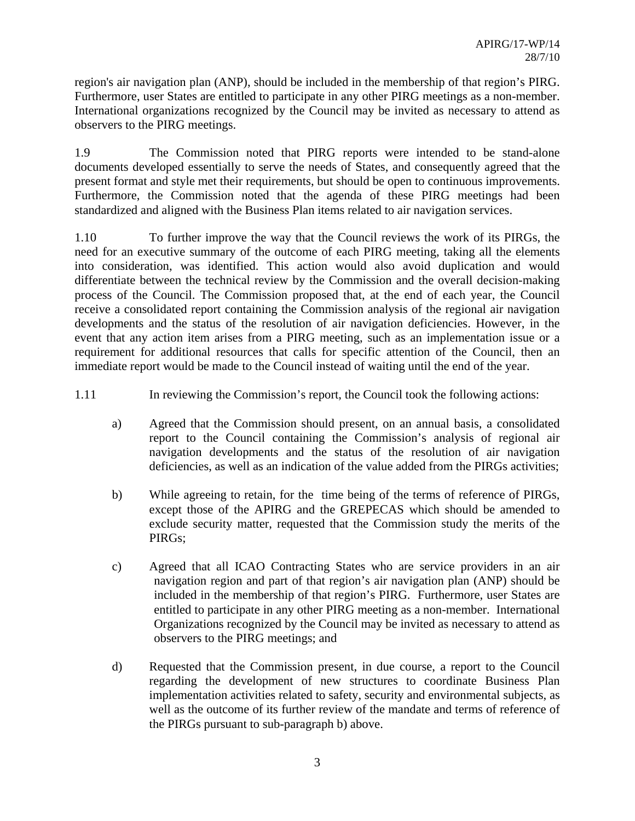region's air navigation plan (ANP), should be included in the membership of that region's PIRG. Furthermore, user States are entitled to participate in any other PIRG meetings as a non-member. International organizations recognized by the Council may be invited as necessary to attend as observers to the PIRG meetings.

1.9 The Commission noted that PIRG reports were intended to be stand-alone documents developed essentially to serve the needs of States, and consequently agreed that the present format and style met their requirements, but should be open to continuous improvements. Furthermore, the Commission noted that the agenda of these PIRG meetings had been standardized and aligned with the Business Plan items related to air navigation services.

1.10 To further improve the way that the Council reviews the work of its PIRGs, the need for an executive summary of the outcome of each PIRG meeting, taking all the elements into consideration, was identified. This action would also avoid duplication and would differentiate between the technical review by the Commission and the overall decision-making process of the Council. The Commission proposed that, at the end of each year, the Council receive a consolidated report containing the Commission analysis of the regional air navigation developments and the status of the resolution of air navigation deficiencies. However, in the event that any action item arises from a PIRG meeting, such as an implementation issue or a requirement for additional resources that calls for specific attention of the Council, then an immediate report would be made to the Council instead of waiting until the end of the year.

1.11 In reviewing the Commission's report, the Council took the following actions:

- a) Agreed that the Commission should present, on an annual basis, a consolidated report to the Council containing the Commission's analysis of regional air navigation developments and the status of the resolution of air navigation deficiencies, as well as an indication of the value added from the PIRGs activities;
- b) While agreeing to retain, for the time being of the terms of reference of PIRGs, except those of the APIRG and the GREPECAS which should be amended to exclude security matter, requested that the Commission study the merits of the PIRGs;
- c) Agreed that all ICAO Contracting States who are service providers in an air navigation region and part of that region's air navigation plan (ANP) should be included in the membership of that region's PIRG. Furthermore, user States are entitled to participate in any other PIRG meeting as a non-member. International Organizations recognized by the Council may be invited as necessary to attend as observers to the PIRG meetings; and
- d) Requested that the Commission present, in due course, a report to the Council regarding the development of new structures to coordinate Business Plan implementation activities related to safety, security and environmental subjects, as well as the outcome of its further review of the mandate and terms of reference of the PIRGs pursuant to sub-paragraph b) above.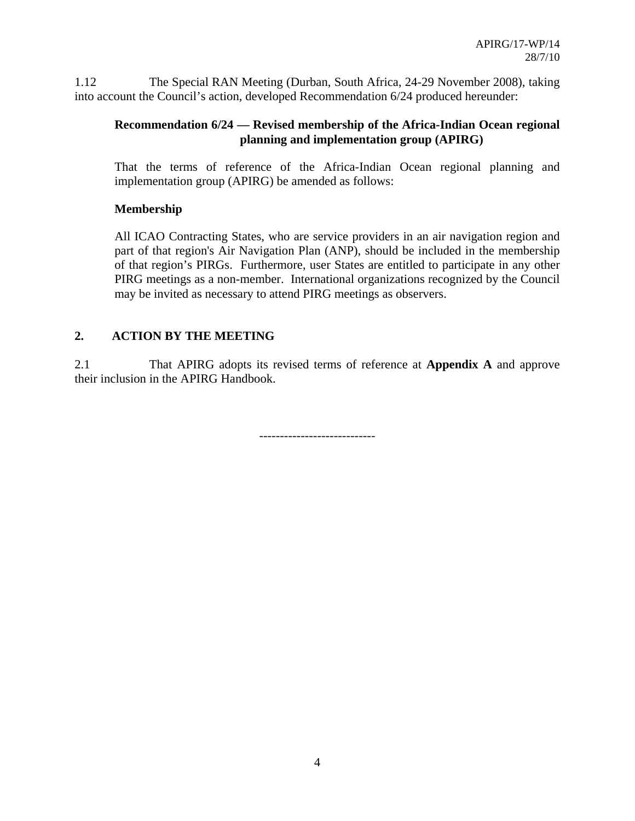1.12 The Special RAN Meeting (Durban, South Africa, 24-29 November 2008), taking into account the Council's action, developed Recommendation 6/24 produced hereunder:

# **Recommendation 6/24 — Revised membership of the Africa-Indian Ocean regional planning and implementation group (APIRG)**

That the terms of reference of the Africa-Indian Ocean regional planning and implementation group (APIRG) be amended as follows:

# **Membership**

All ICAO Contracting States, who are service providers in an air navigation region and part of that region's Air Navigation Plan (ANP), should be included in the membership of that region's PIRGs. Furthermore, user States are entitled to participate in any other PIRG meetings as a non-member. International organizations recognized by the Council may be invited as necessary to attend PIRG meetings as observers.

# **2. ACTION BY THE MEETING**

2.1 That APIRG adopts its revised terms of reference at **Appendix A** and approve their inclusion in the APIRG Handbook.

----------------------------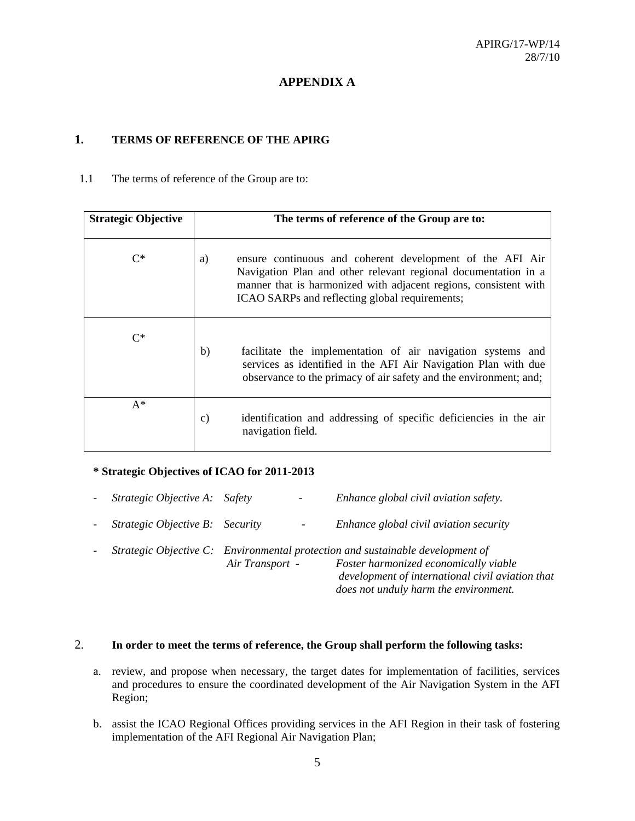### **APPENDIX A**

### **1. TERMS OF REFERENCE OF THE APIRG**

1.1 The terms of reference of the Group are to:

| <b>Strategic Objective</b> | The terms of reference of the Group are to:                                                                                                                                                                                                             |  |  |  |
|----------------------------|---------------------------------------------------------------------------------------------------------------------------------------------------------------------------------------------------------------------------------------------------------|--|--|--|
| $C^*$                      | ensure continuous and coherent development of the AFI Air<br>a)<br>Navigation Plan and other relevant regional documentation in a<br>manner that is harmonized with adjacent regions, consistent with<br>ICAO SARPs and reflecting global requirements; |  |  |  |
| $C^*$                      | b)<br>facilitate the implementation of air navigation systems and<br>services as identified in the AFI Air Navigation Plan with due<br>observance to the primacy of air safety and the environment; and;                                                |  |  |  |
| $A^*$                      | identification and addressing of specific deficiencies in the air<br>$\mathcal{C}$ )<br>navigation field.                                                                                                                                               |  |  |  |

#### **\* Strategic Objectives of ICAO for 2011-2013**

| $\sim$ $-$     | Strategic Objective A: Safety   |                 | $\overline{\phantom{a}}$ | Enhance global civil aviation safety.                                                                                                                                                                                |
|----------------|---------------------------------|-----------------|--------------------------|----------------------------------------------------------------------------------------------------------------------------------------------------------------------------------------------------------------------|
| $\blacksquare$ | Strategic Objective B: Security |                 | $\overline{\phantom{a}}$ | Enhance global civil aviation security                                                                                                                                                                               |
|                |                                 | Air Transport - |                          | Strategic Objective C: Environmental protection and sustainable development of<br>Foster harmonized economically viable<br>development of international civil aviation that<br>does not unduly harm the environment. |

#### 2. **In order to meet the terms of reference, the Group shall perform the following tasks:**

- a. review, and propose when necessary, the target dates for implementation of facilities, services and procedures to ensure the coordinated development of the Air Navigation System in the AFI Region;
- b. assist the ICAO Regional Offices providing services in the AFI Region in their task of fostering implementation of the AFI Regional Air Navigation Plan;